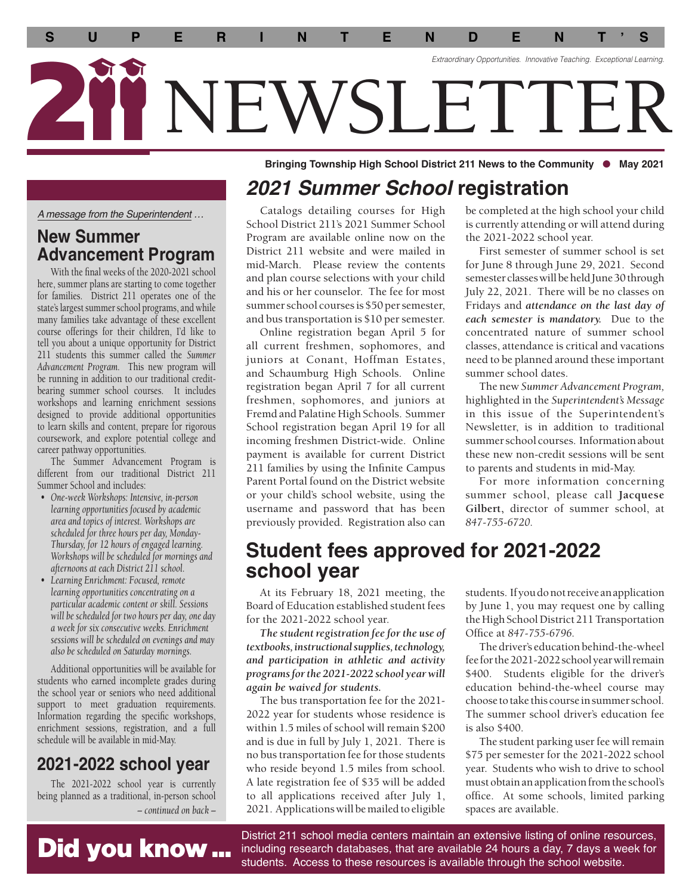

Bringing Township High School District 211 News to the Community  $\bullet$  May 2021

### *2021 Summer School* **registration**

*A message from the Superintendent …* 

#### **New Summer Advancement Program**

With the fnal weeks of the 2020-2021 school here, summer plans are starting to come together for families. District 211 operates one of the state's largest summer school programs, and while many families take advantage of these excellent course offerings for their children, I'd like to tell you about a unique opportunity for District 211 students this summer called the *Summer Advancement Program.* This new program will be running in addition to our traditional creditbearing summer school courses. It includes workshops and learning enrichment sessions designed to provide additional opportunities to learn skills and content, prepare for rigorous coursework, and explore potential college and career pathway opportunities.

The Summer Advancement Program is different from our traditional District 211 Summer School and includes:

- *One-week Workshops: Intensive, in-person learning opportunities focused by academic area and topics of interest. Workshops are scheduled for three hours per day, Monday-Thursday, for 12 hours of engaged learning. Workshops will be scheduled for mornings and afternoons at each District 211 school.*
- *Learning Enrichment: Focused, remote learning opportunities concentrating on a particular academic content or skill. Sessions will be scheduled for two hours per day, one day a week for six consecutive weeks. Enrichment sessions will be scheduled on evenings and may also be scheduled on Saturday mornings.*

Additional opportunities will be available for students who earned incomplete grades during the school year or seniors who need additional support to meet graduation requirements. Information regarding the specifc workshops, enrichment sessions, registration, and a full schedule will be available in mid-May.

#### **2021-2022 school year**

The 2021-2022 school year is currently being planned as a traditional, in-person school *– continued on back –*

Catalogs detailing courses for High School District 211's 2021 Summer School Program are available online now on the District 211 website and were mailed in mid-March. Please review the contents and plan course selections with your child and his or her counselor. The fee for most summer school courses is \$50 per semester, and bus transportation is \$10 per semester.

Online registration began April 5 for all current freshmen, sophomores, and juniors at Conant, Hoffman Estates, and Schaumburg High Schools. Online registration began April 7 for all current freshmen, sophomores, and juniors at Fremd and Palatine High Schools. Summer School registration began April 19 for all incoming freshmen District-wide. Online payment is available for current District 211 families by using the Infnite Campus Parent Portal found on the District website or your child's school website, using the username and password that has been previously provided. Registration also can

be completed at the high school your child is currently attending or will attend during the 2021-2022 school year.

First semester of summer school is set for June 8 through June 29, 2021. Second semester classes will be held June 30 through July 22, 2021. There will be no classes on Fridays and *attendance on the last day of each semester is mandatory.* Due to the concentrated nature of summer school classes, attendance is critical and vacations need to be planned around these important summer school dates.

The new *Summer Advancement Program,*  highlighted in the *Superintendent's Message*  in this issue of the Superintendent's Newsletter, is in addition to traditional summer school courses. Information about these new non-credit sessions will be sent to parents and students in mid-May.

 summer school, please call **Jacquese**  For more information concerning **Gilbert,** director of summer school, at *847-755-6720.*

#### **Student fees approved for 2021-2022 school year**

At its February 18, 2021 meeting, the Board of Education established student fees for the 2021-2022 school year.

*The student registration fee for the use of textbooks, instructional supplies, technology, and participation in athletic and activity programs for the 2021-2022 school year will again be waived for students.* 

The bus transportation fee for the 2021- 2022 year for students whose residence is within 1.5 miles of school will remain \$200 and is due in full by July 1, 2021. There is no bus transportation fee for those students who reside beyond 1.5 miles from school. A late registration fee of \$35 will be added to all applications received after July 1, 2021. Applications will be mailed to eligible students. If you do not receive an application by June 1, you may request one by calling the High School District 211 Transportation Offce at *847-755-6796.* 

The driver's education behind-the-wheel fee for the 2021-2022 school year will remain \$400. Students eligible for the driver's education behind-the-wheel course may choose to take this course in summer school. The summer school driver's education fee is also \$400.

The student parking user fee will remain \$75 per semester for the 2021-2022 school year. Students who wish to drive to school must obtain an application from the school's office. At some schools, limited parking spaces are available.

# Did you know ...

District 211 school media centers maintain an extensive listing of online resources, including research databases, that are available 24 hours a day, 7 days a week for students. Access to these resources is available through the school website.